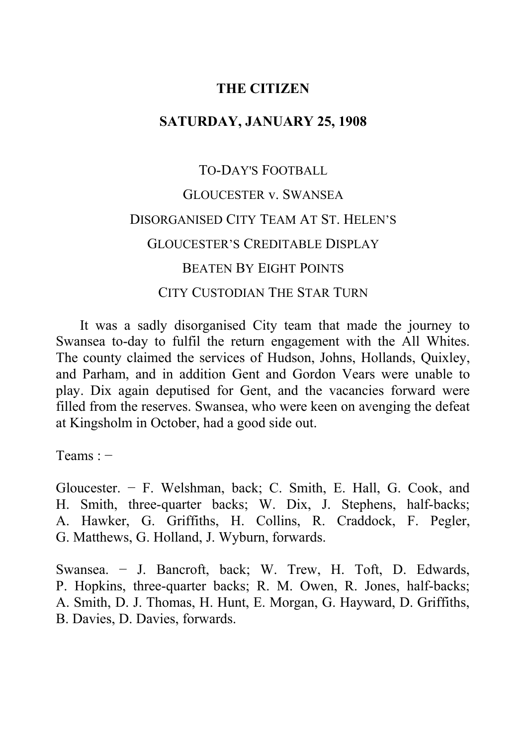## **THE CITIZEN**

## **SATURDAY, JANUARY 25, 1908**

# TO-DAY'S FOOTBALL GLOUCESTER v. SWANSEA DISORGANISED CITY TEAM AT ST. HELEN'S GLOUCESTER'S CREDITABLE DISPLAY BEATEN BY EIGHT POINTS CITY CUSTODIAN THE STAR TURN

It was a sadly disorganised City team that made the journey to Swansea to-day to fulfil the return engagement with the All Whites. The county claimed the services of Hudson, Johns, Hollands, Quixley, and Parham, and in addition Gent and Gordon Vears were unable to play. Dix again deputised for Gent, and the vacancies forward were filled from the reserves. Swansea, who were keen on avenging the defeat at Kingsholm in October, had a good side out.

Teams : −

Gloucester. − F. Welshman, back; C. Smith, E. Hall, G. Cook, and H. Smith, three-quarter backs; W. Dix, J. Stephens, half-backs; A. Hawker, G. Griffiths, H. Collins, R. Craddock, F. Pegler, G. Matthews, G. Holland, J. Wyburn, forwards.

Swansea. − J. Bancroft, back; W. Trew, H. Toft, D. Edwards, P. Hopkins, three-quarter backs; R. M. Owen, R. Jones, half-backs; A. Smith, D. J. Thomas, H. Hunt, E. Morgan, G. Hayward, D. Griffiths, B. Davies, D. Davies, forwards.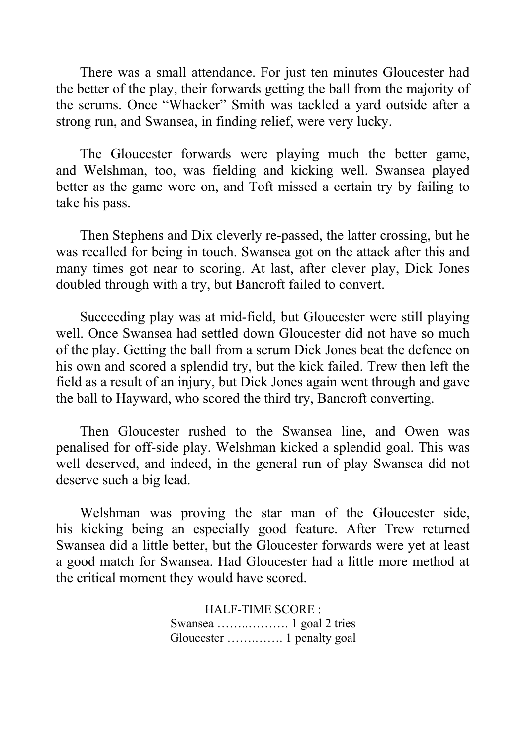There was a small attendance. For just ten minutes Gloucester had the better of the play, their forwards getting the ball from the majority of the scrums. Once "Whacker" Smith was tackled a yard outside after a strong run, and Swansea, in finding relief, were very lucky.

The Gloucester forwards were playing much the better game, and Welshman, too, was fielding and kicking well. Swansea played better as the game wore on, and Toft missed a certain try by failing to take his pass.

Then Stephens and Dix cleverly re-passed, the latter crossing, but he was recalled for being in touch. Swansea got on the attack after this and many times got near to scoring. At last, after clever play, Dick Jones doubled through with a try, but Bancroft failed to convert.

Succeeding play was at mid-field, but Gloucester were still playing well. Once Swansea had settled down Gloucester did not have so much of the play. Getting the ball from a scrum Dick Jones beat the defence on his own and scored a splendid try, but the kick failed. Trew then left the field as a result of an injury, but Dick Jones again went through and gave the ball to Hayward, who scored the third try, Bancroft converting.

Then Gloucester rushed to the Swansea line, and Owen was penalised for off-side play. Welshman kicked a splendid goal. This was well deserved, and indeed, in the general run of play Swansea did not deserve such a big lead.

Welshman was proving the star man of the Gloucester side, his kicking being an especially good feature. After Trew returned Swansea did a little better, but the Gloucester forwards were yet at least a good match for Swansea. Had Gloucester had a little more method at the critical moment they would have scored.

> HALF-TIME SCORE : Swansea ……..………. 1 goal 2 tries Gloucester …….……. 1 penalty goal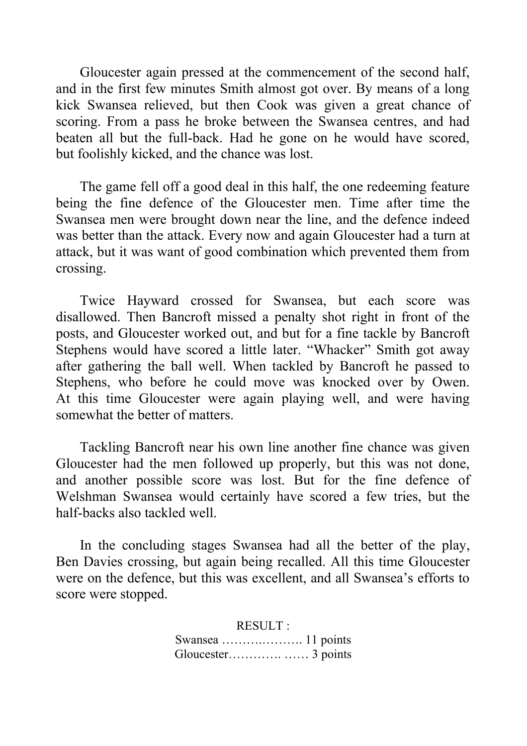Gloucester again pressed at the commencement of the second half, and in the first few minutes Smith almost got over. By means of a long kick Swansea relieved, but then Cook was given a great chance of scoring. From a pass he broke between the Swansea centres, and had beaten all but the full-back. Had he gone on he would have scored, but foolishly kicked, and the chance was lost.

The game fell off a good deal in this half, the one redeeming feature being the fine defence of the Gloucester men. Time after time the Swansea men were brought down near the line, and the defence indeed was better than the attack. Every now and again Gloucester had a turn at attack, but it was want of good combination which prevented them from crossing.

Twice Hayward crossed for Swansea, but each score was disallowed. Then Bancroft missed a penalty shot right in front of the posts, and Gloucester worked out, and but for a fine tackle by Bancroft Stephens would have scored a little later. "Whacker" Smith got away after gathering the ball well. When tackled by Bancroft he passed to Stephens, who before he could move was knocked over by Owen. At this time Gloucester were again playing well, and were having somewhat the better of matters.

Tackling Bancroft near his own line another fine chance was given Gloucester had the men followed up properly, but this was not done, and another possible score was lost. But for the fine defence of Welshman Swansea would certainly have scored a few tries, but the half-backs also tackled well.

In the concluding stages Swansea had all the better of the play, Ben Davies crossing, but again being recalled. All this time Gloucester were on the defence, but this was excellent, and all Swansea's efforts to score were stopped.

> RESULT : Swansea ……….………. 11 points Gloucester…………. …… 3 points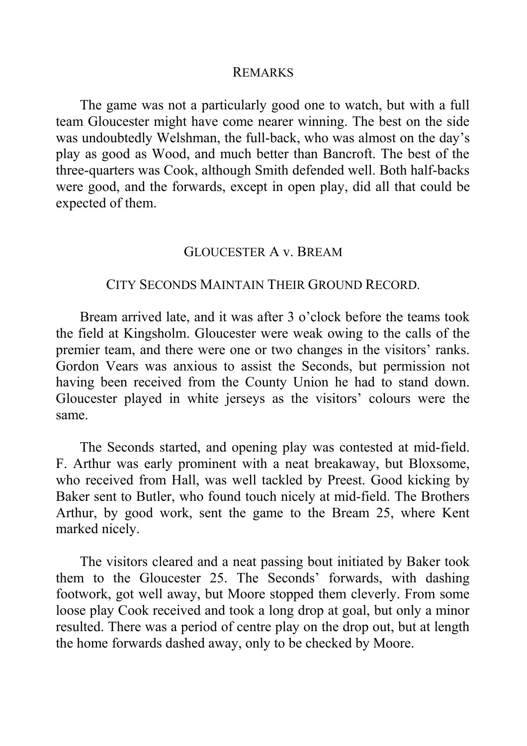#### REMARKS

The game was not a particularly good one to watch, but with a full team Gloucester might have come nearer winning. The best on the side was undoubtedly Welshman, the full-back, who was almost on the day's play as good as Wood, and much better than Bancroft. The best of the three-quarters was Cook, although Smith defended well. Both half-backs were good, and the forwards, except in open play, did all that could be expected of them.

#### GLOUCESTER A v. BREAM

#### CITY SECONDS MAINTAIN THEIR GROUND RECORD.

Bream arrived late, and it was after 3 o'clock before the teams took the field at Kingsholm. Gloucester were weak owing to the calls of the premier team, and there were one or two changes in the visitors' ranks. Gordon Vears was anxious to assist the Seconds, but permission not having been received from the County Union he had to stand down. Gloucester played in white jerseys as the visitors' colours were the same.

The Seconds started, and opening play was contested at mid-field. F. Arthur was early prominent with a neat breakaway, but Bloxsome, who received from Hall, was well tackled by Preest. Good kicking by Baker sent to Butler, who found touch nicely at mid-field. The Brothers Arthur, by good work, sent the game to the Bream 25, where Kent marked nicely.

The visitors cleared and a neat passing bout initiated by Baker took them to the Gloucester 25. The Seconds' forwards, with dashing footwork, got well away, but Moore stopped them cleverly. From some loose play Cook received and took a long drop at goal, but only a minor resulted. There was a period of centre play on the drop out, but at length the home forwards dashed away, only to be checked by Moore.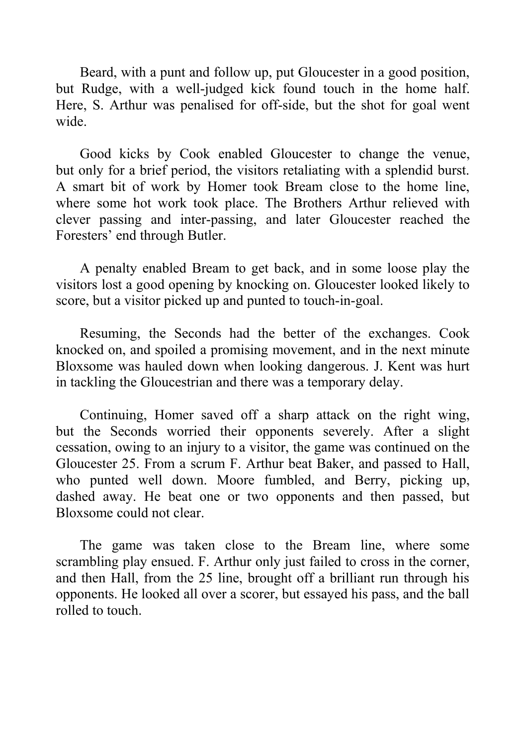Beard, with a punt and follow up, put Gloucester in a good position, but Rudge, with a well-judged kick found touch in the home half. Here, S. Arthur was penalised for off-side, but the shot for goal went wide.

Good kicks by Cook enabled Gloucester to change the venue, but only for a brief period, the visitors retaliating with a splendid burst. A smart bit of work by Homer took Bream close to the home line, where some hot work took place. The Brothers Arthur relieved with clever passing and inter-passing, and later Gloucester reached the Foresters' end through Butler.

A penalty enabled Bream to get back, and in some loose play the visitors lost a good opening by knocking on. Gloucester looked likely to score, but a visitor picked up and punted to touch-in-goal.

Resuming, the Seconds had the better of the exchanges. Cook knocked on, and spoiled a promising movement, and in the next minute Bloxsome was hauled down when looking dangerous. J. Kent was hurt in tackling the Gloucestrian and there was a temporary delay.

Continuing, Homer saved off a sharp attack on the right wing, but the Seconds worried their opponents severely. After a slight cessation, owing to an injury to a visitor, the game was continued on the Gloucester 25. From a scrum F. Arthur beat Baker, and passed to Hall, who punted well down. Moore fumbled, and Berry, picking up, dashed away. He beat one or two opponents and then passed, but Bloxsome could not clear.

The game was taken close to the Bream line, where some scrambling play ensued. F. Arthur only just failed to cross in the corner, and then Hall, from the 25 line, brought off a brilliant run through his opponents. He looked all over a scorer, but essayed his pass, and the ball rolled to touch.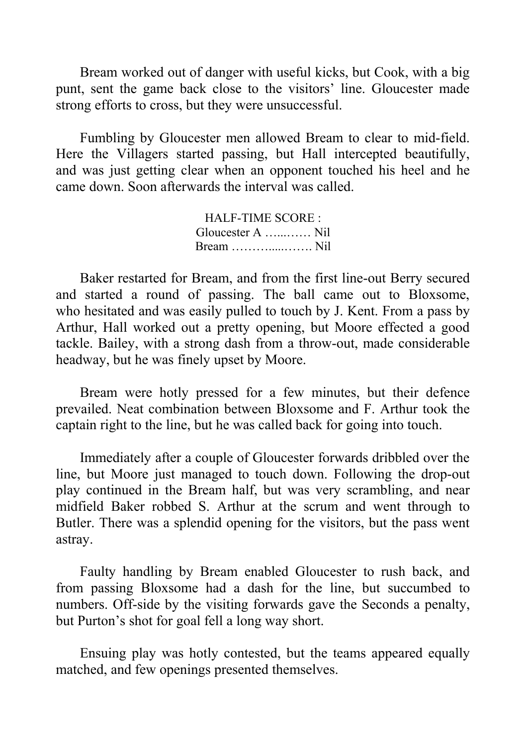Bream worked out of danger with useful kicks, but Cook, with a big punt, sent the game back close to the visitors' line. Gloucester made strong efforts to cross, but they were unsuccessful.

Fumbling by Gloucester men allowed Bream to clear to mid-field. Here the Villagers started passing, but Hall intercepted beautifully, and was just getting clear when an opponent touched his heel and he came down. Soon afterwards the interval was called.

> HALF-TIME SCORE : Gloucester A …...…… Nil Bream ……….....……. Nil

Baker restarted for Bream, and from the first line-out Berry secured and started a round of passing. The ball came out to Bloxsome, who hesitated and was easily pulled to touch by J. Kent. From a pass by Arthur, Hall worked out a pretty opening, but Moore effected a good tackle. Bailey, with a strong dash from a throw-out, made considerable headway, but he was finely upset by Moore.

Bream were hotly pressed for a few minutes, but their defence prevailed. Neat combination between Bloxsome and F. Arthur took the captain right to the line, but he was called back for going into touch.

Immediately after a couple of Gloucester forwards dribbled over the line, but Moore just managed to touch down. Following the drop-out play continued in the Bream half, but was very scrambling, and near midfield Baker robbed S. Arthur at the scrum and went through to Butler. There was a splendid opening for the visitors, but the pass went astray.

Faulty handling by Bream enabled Gloucester to rush back, and from passing Bloxsome had a dash for the line, but succumbed to numbers. Off-side by the visiting forwards gave the Seconds a penalty, but Purton's shot for goal fell a long way short.

Ensuing play was hotly contested, but the teams appeared equally matched, and few openings presented themselves.